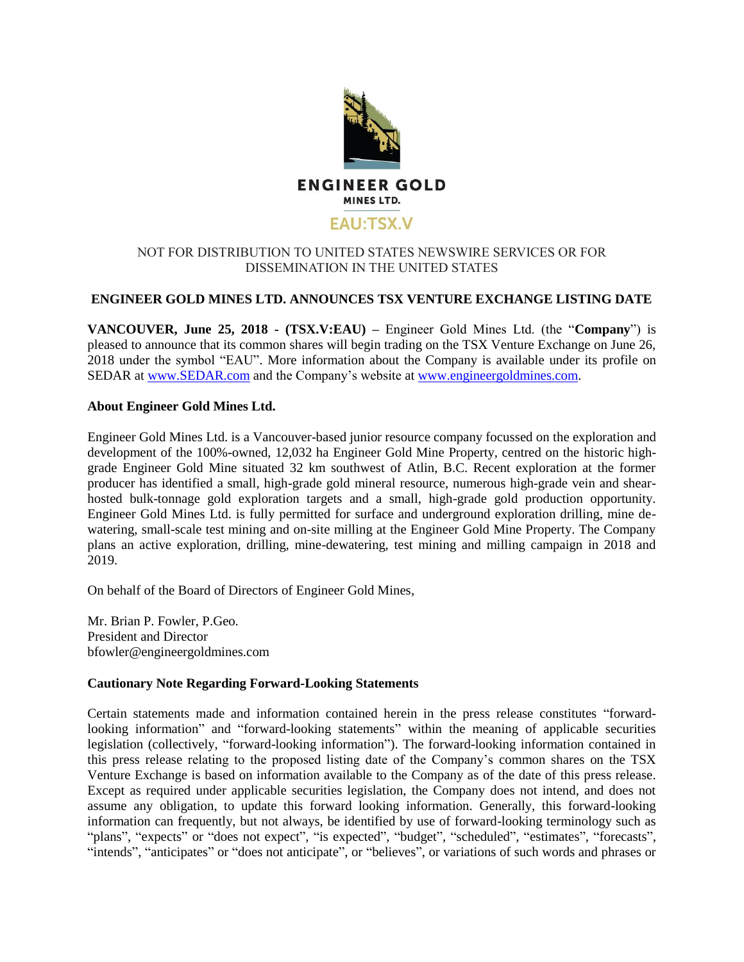

## NOT FOR DISTRIBUTION TO UNITED STATES NEWSWIRE SERVICES OR FOR DISSEMINATION IN THE UNITED STATES

## **ENGINEER GOLD MINES LTD. ANNOUNCES TSX VENTURE EXCHANGE LISTING DATE**

**VANCOUVER, June 25, 2018 - (TSX.V:EAU) –** Engineer Gold Mines Ltd. (the "**Company**") is pleased to announce that its common shares will begin trading on the TSX Venture Exchange on June 26, 2018 under the symbol "EAU". More information about the Company is available under its profile on SEDAR at [www.SEDAR.com](http://www.sedar.com/) and the Company's website at [www.engineergoldmines.com.](http://www.engineergoldmines.com/)

## **About Engineer Gold Mines Ltd.**

Engineer Gold Mines Ltd. is a Vancouver-based junior resource company focussed on the exploration and development of the 100%-owned, 12,032 ha Engineer Gold Mine Property, centred on the historic highgrade Engineer Gold Mine situated 32 km southwest of Atlin, B.C. Recent exploration at the former producer has identified a small, high-grade gold mineral resource, numerous high-grade vein and shearhosted bulk-tonnage gold exploration targets and a small, high-grade gold production opportunity. Engineer Gold Mines Ltd. is fully permitted for surface and underground exploration drilling, mine dewatering, small-scale test mining and on-site milling at the Engineer Gold Mine Property. The Company plans an active exploration, drilling, mine-dewatering, test mining and milling campaign in 2018 and 2019.

On behalf of the Board of Directors of Engineer Gold Mines,

Mr. Brian P. Fowler, P.Geo. President and Director bfowler@engineergoldmines.com

## **Cautionary Note Regarding Forward-Looking Statements**

Certain statements made and information contained herein in the press release constitutes "forwardlooking information" and "forward-looking statements" within the meaning of applicable securities legislation (collectively, "forward-looking information"). The forward-looking information contained in this press release relating to the proposed listing date of the Company's common shares on the TSX Venture Exchange is based on information available to the Company as of the date of this press release. Except as required under applicable securities legislation, the Company does not intend, and does not assume any obligation, to update this forward looking information. Generally, this forward-looking information can frequently, but not always, be identified by use of forward-looking terminology such as "plans", "expects" or "does not expect", "is expected", "budget", "scheduled", "estimates", "forecasts", "intends", "anticipates" or "does not anticipate", or "believes", or variations of such words and phrases or